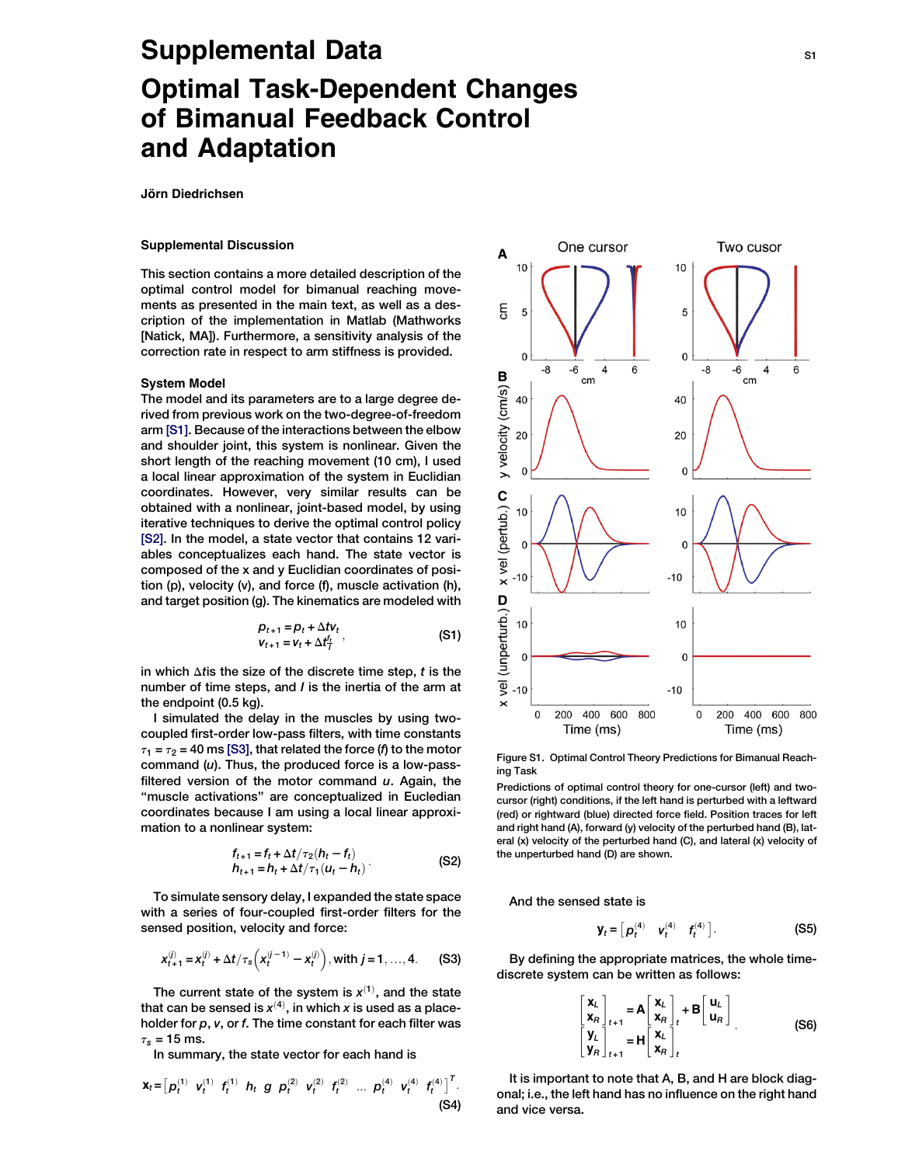# Supplemental Data S1 and S1 and S1 and S1 and S1 and S1 and S1 and S1 and S1 and S1 and S1 and S1 and S1 and S1 and S1 and S1 and S1 and S1 and S1 and S1 and S1 and S1 and S1 and S1 and S1 and S1 and S1 and S1 and S1 and S Optimal Task-Dependent Changes of Bimanual Feedback Control and Adaptation

Jörn Diedrichsen

# Supplemental Discussion

This section contains a more detailed description of the optimal control model for bimanual reaching movements as presented in the main text, as well as a description of the implementation in Matlab (Mathworks [Natick, MA]). Furthermore, a sensitivity analysis of the correction rate in respect to arm stiffness is provided.

#### System Model

The model and its parameters are to a large degree derived from previous work on the two-degree-of-freedom arm [\[S1\].](#page-2-0) Because of the interactions between the elbow and shoulder joint, this system is nonlinear. Given the short length of the reaching movement (10 cm), I used a local linear approximation of the system in Euclidian coordinates. However, very similar results can be obtained with a nonlinear, joint-based model, by using iterative techniques to derive the optimal control policy [\[S2\].](#page-2-0) In the model, a state vector that contains 12 variables conceptualizes each hand. The state vector is composed of the x and y Euclidian coordinates of position (p), velocity (v), and force (f), muscle activation (h), and target position (g). The kinematics are modeled with

$$
p_{t+1} = p_t + \Delta t V_t
$$
  
\n
$$
V_{t+1} = V_t + \Delta t \frac{t_t}{l},
$$
\n(S1)

in which  $\Delta t$  is the size of the discrete time step, t is the number of time steps, and I is the inertia of the arm at the endpoint (0.5 kg).

I simulated the delay in the muscles by using twocoupled first-order low-pass filters, with time constants  $\tau_1 = \tau_2 = 40$  ms [\[S3\],](#page-2-0) that related the force (f) to the motor command  $(u)$ . Thus, the produced force is a low-passfiltered version of the motor command  $u$ . Again, the ''muscle activations'' are conceptualized in Eucledian coordinates because I am using a local linear approximation to a nonlinear system:

$$
f_{t+1} = f_t + \Delta t / \tau_2 (h_t - f_t) \nh_{t+1} = h_t + \Delta t / \tau_1 (u_t - h_t)
$$
\n(S2)

To simulate sensory delay, I expanded the state space with a series of four-coupled first-order filters for the sensed position, velocity and force:

$$
x_{t+1}^{(j)} = x_t^{(j)} + \Delta t / \tau_s \left( x_t^{(j-1)} - x_t^{(j)} \right), \text{ with } j = 1, ..., 4. \tag{S3}
$$

The current state of the system is  $x^{(1)}$ , and the state that can be sensed is  $x^{(4)}$ , in which  $x$  is used as a placeholder for  $p$ ,  $v$ , or  $f$ . The time constant for each filter was  $\tau_s$  = 15 ms.

In summary, the state vector for each hand is

$$
\mathbf{x}_{t} = [p_{t}^{(1)} \quad \mathbf{v}_{t}^{(1)} \quad f_{t}^{(1)} \quad h_{t} \quad g \quad p_{t}^{(2)} \quad \mathbf{v}_{t}^{(2)} \quad f_{t}^{(2)} \quad \dots \quad p_{t}^{(4)} \quad \mathbf{v}_{t}^{(4)} \quad f_{t}^{(4)} \,]^{T}.
$$
\n(S4)



Figure S1. Optimal Control Theory Predictions for Bimanual Reaching Task

Predictions of optimal control theory for one-cursor (left) and twocursor (right) conditions, if the left hand is perturbed with a leftward (red) or rightward (blue) directed force field. Position traces for left and right hand (A), forward (y) velocity of the perturbed hand (B), lateral (x) velocity of the perturbed hand (C), and lateral (x) velocity of the unperturbed hand (D) are shown.

And the sensed state is

$$
\mathbf{y}_t = \begin{bmatrix} \boldsymbol{p}_t^{(4)} & \boldsymbol{v}_t^{(4)} & \boldsymbol{f}_t^{(4)} \end{bmatrix}.
$$
 (S5)

By defining the appropriate matrices, the whole timediscrete system can be written as follows:

$$
\begin{bmatrix} \mathbf{x}_{L} \\ \mathbf{x}_{R} \\ \mathbf{y}_{L} \\ \mathbf{y}_{R} \end{bmatrix}_{t+1} = \mathbf{A} \begin{bmatrix} \mathbf{x}_{L} \\ \mathbf{x}_{R} \\ \mathbf{x}_{R} \end{bmatrix}_{t} + \mathbf{B} \begin{bmatrix} \mathbf{u}_{L} \\ \mathbf{u}_{R} \end{bmatrix}
$$
\n(56)

It is important to note that A, B, and H are block diagonal; i.e., the left hand has no influence on the right hand and vice versa.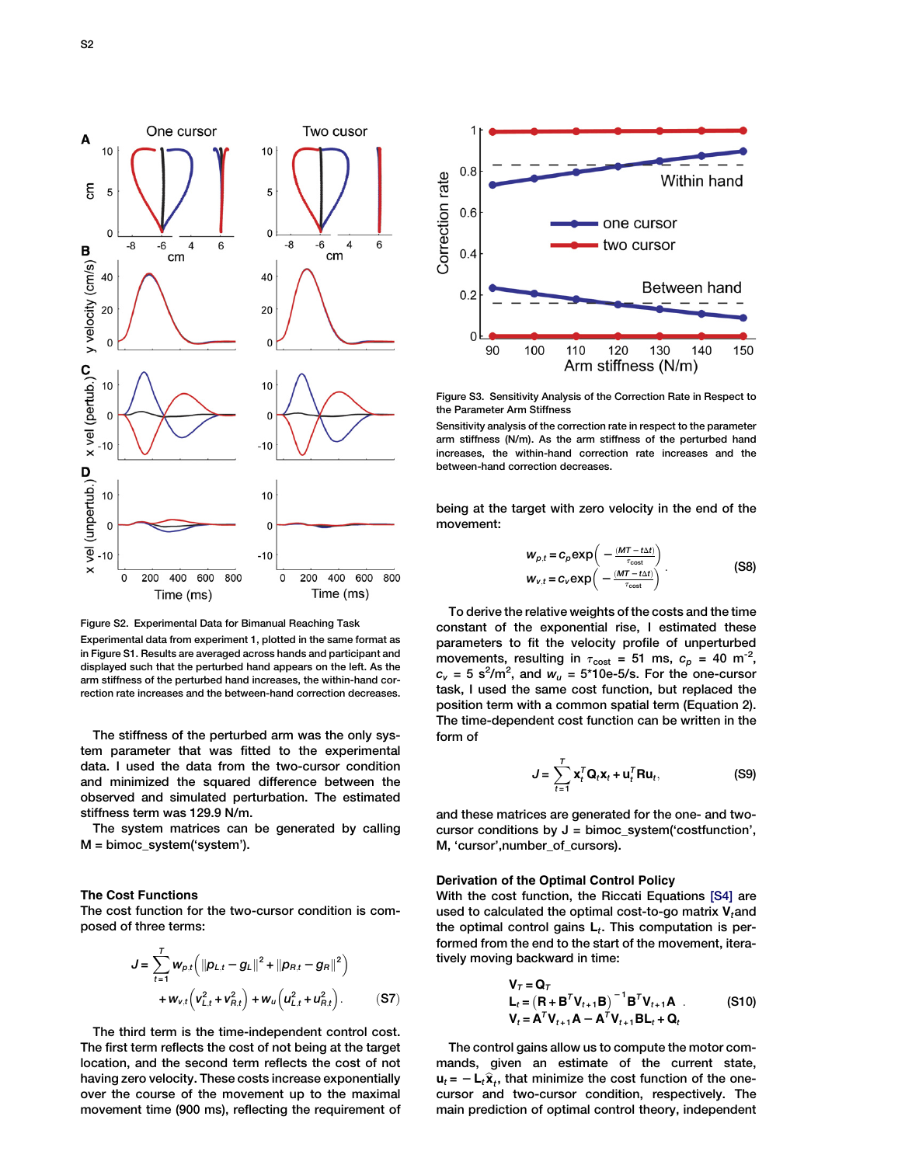



Experimental data from experiment 1, plotted in the same format as in Figure S1. Results are averaged across hands and participant and displayed such that the perturbed hand appears on the left. As the arm stiffness of the perturbed hand increases, the within-hand correction rate increases and the between-hand correction decreases.

The stiffness of the perturbed arm was the only system parameter that was fitted to the experimental data. I used the data from the two-cursor condition and minimized the squared difference between the observed and simulated perturbation. The estimated stiffness term was 129.9 N/m.

The system matrices can be generated by calling M = bimoc\_system('system').

### The Cost Functions

The cost function for the two-cursor condition is composed of three terms:

$$
J = \sum_{t=1}^{T} w_{p,t} \left( \|p_{L,t} - g_L\|^2 + \|p_{R,t} - g_R\|^2 \right) + w_{v,t} \left( v_{L,t}^2 + v_{R,t}^2 \right) + w_u \left( u_{L,t}^2 + u_{R,t}^2 \right).
$$
 (S7)

The third term is the time-independent control cost. The first term reflects the cost of not being at the target location, and the second term reflects the cost of not having zero velocity. These costs increase exponentially over the course of the movement up to the maximal movement time (900 ms), reflecting the requirement of



Figure S3. Sensitivity Analysis of the Correction Rate in Respect to the Parameter Arm Stiffness

Sensitivity analysis of the correction rate in respect to the parameter arm stiffness (N/m). As the arm stiffness of the perturbed hand increases, the within-hand correction rate increases and the between-hand correction decreases.

being at the target with zero velocity in the end of the movement:

$$
w_{p,t} = c_p \exp\left(-\frac{(MT - t\Delta t)}{\tau_{\text{cost}}}\right)
$$
  
\n
$$
w_{v,t} = c_v \exp\left(-\frac{(MT - t\Delta t)}{\tau_{\text{cost}}}\right).
$$
 (S8)

To derive the relative weights of the costs and the time constant of the exponential rise, I estimated these parameters to fit the velocity profile of unperturbed movements, resulting in  $\tau_{\text{cost}} = 51$  ms,  $c_p = 40 \text{ m}^{-2}$ ,  $c_v$  = 5 s<sup>2</sup>/m<sup>2</sup>, and  $w_u$  = 5\*10e-5/s. For the one-cursor task, I used the same cost function, but replaced the position term with a common spatial term (Equation 2). The time-dependent cost function can be written in the form of

$$
J = \sum_{t=1}^{T} \mathbf{x}_t^T \mathbf{Q}_t \mathbf{x}_t + \mathbf{u}_t^T \mathbf{R} \mathbf{u}_t, \tag{S9}
$$

and these matrices are generated for the one- and twocursor conditions by  $J = b$ imoc\_system('costfunction', M, 'cursor',number\_of\_cursors).

## Derivation of the Optimal Control Policy

With the cost function, the Riccati Equations [\[S4\]](#page-2-0) are used to calculated the optimal cost-to-go matrix  $V_t$ and the optimal control gains  $L_t$ . This computation is performed from the end to the start of the movement, iteratively moving backward in time:

$$
\mathbf{V}_{T} = \mathbf{Q}_{T}
$$
  
\n
$$
\mathbf{L}_{t} = (\mathbf{R} + \mathbf{B}^{T} \mathbf{V}_{t+1} \mathbf{B})^{-1} \mathbf{B}^{T} \mathbf{V}_{t+1} \mathbf{A}
$$
 (S10)  
\n
$$
\mathbf{V}_{t} = \mathbf{A}^{T} \mathbf{V}_{t+1} \mathbf{A} - \mathbf{A}^{T} \mathbf{V}_{t+1} \mathbf{B} \mathbf{L}_{t} + \mathbf{Q}_{t}
$$

The control gains allow us to compute the motor commands, given an estimate of the current state,  $u_t = -L_t\hat{x}_t$ , that minimize the cost function of the onecursor and two-cursor condition, respectively. The main prediction of optimal control theory, independent